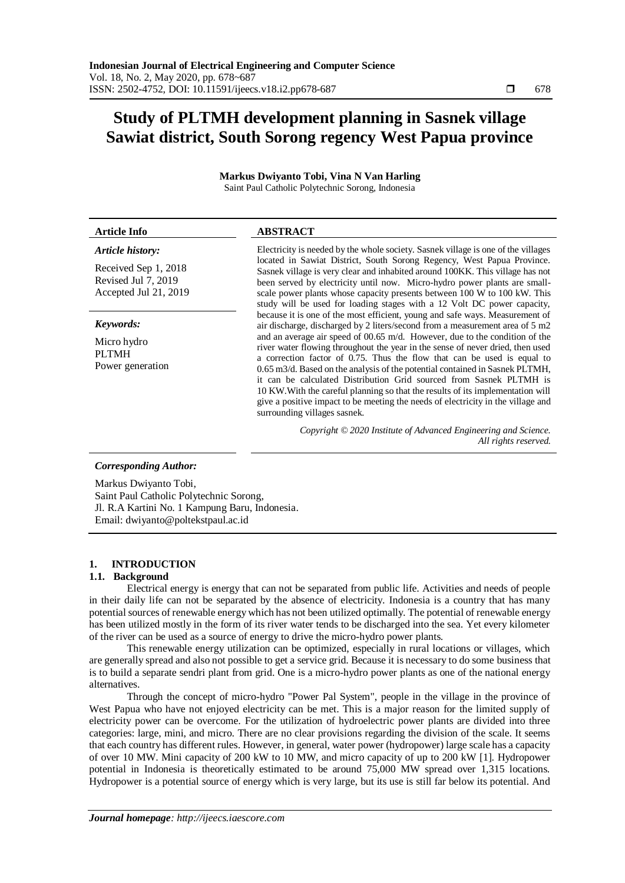# **Study of PLTMH development planning in Sasnek village Sawiat district, South Sorong regency West Papua province**

**Markus Dwiyanto Tobi, Vina N Van Harling**

| Saint Paul Catholic Polytechnic Sorong, Indonesia                    |                                                                                                                                                                                                                                                                                                                                                                                                                                                                                                                                                                                                                |  |
|----------------------------------------------------------------------|----------------------------------------------------------------------------------------------------------------------------------------------------------------------------------------------------------------------------------------------------------------------------------------------------------------------------------------------------------------------------------------------------------------------------------------------------------------------------------------------------------------------------------------------------------------------------------------------------------------|--|
| <b>Article Info</b>                                                  | <b>ABSTRACT</b>                                                                                                                                                                                                                                                                                                                                                                                                                                                                                                                                                                                                |  |
| Article history:                                                     | Electricity is needed by the whole society. Sasnek village is one of the villages                                                                                                                                                                                                                                                                                                                                                                                                                                                                                                                              |  |
| Received Sep 1, 2018<br>Revised Jul 7, 2019<br>Accepted Jul 21, 2019 | located in Sawiat District, South Sorong Regency, West Papua Province.<br>Sasnek village is very clear and inhabited around 100KK. This village has not<br>been served by electricity until now. Micro-hydro power plants are small-<br>scale power plants whose capacity presents between 100 W to 100 kW. This<br>study will be used for loading stages with a 12 Volt DC power capacity,                                                                                                                                                                                                                    |  |
| Keywords:                                                            | because it is one of the most efficient, young and safe ways. Measurement of<br>air discharge, discharged by 2 liters/second from a measurement area of 5 m2                                                                                                                                                                                                                                                                                                                                                                                                                                                   |  |
| Micro hydro<br><b>PLTMH</b><br>Power generation                      | and an average air speed of $00.65$ m/d. However, due to the condition of the<br>river water flowing throughout the year in the sense of never dried, then used<br>a correction factor of 0.75. Thus the flow that can be used is equal to<br>$0.65$ m $3/d$ . Based on the analysis of the potential contained in Sasnek PLTMH,<br>it can be calculated Distribution Grid sourced from Sasnek PLTMH is<br>10 KW. With the careful planning so that the results of its implementation will<br>give a positive impact to be meeting the needs of electricity in the village and<br>surrounding villages sasnek. |  |
|                                                                      | Copyright © 2020 Institute of Advanced Engineering and Science.<br>All rights reserved.                                                                                                                                                                                                                                                                                                                                                                                                                                                                                                                        |  |

*Corresponding Author:*

Markus Dwiyanto Tobi, Saint Paul Catholic Polytechnic Sorong, Jl. R.A Kartini No. 1 Kampung Baru, Indonesia. Email: dwiyanto@poltekstpaul.ac.id

#### **1. INTRODUCTION**

#### **1.1. Background**

Electrical energy is energy that can not be separated from public life. Activities and needs of people in their daily life can not be separated by the absence of electricity. Indonesia is a country that has many potential sources of renewable energy which has not been utilized optimally. The potential of renewable energy has been utilized mostly in the form of its river water tends to be discharged into the sea. Yet every kilometer of the river can be used as a source of energy to drive the micro-hydro power plants.

This renewable energy utilization can be optimized, especially in rural locations or villages, which are generally spread and also not possible to get a service grid. Because it is necessary to do some business that is to build a separate sendri plant from grid. One is a micro-hydro power plants as one of the national energy alternatives.

Through the concept of micro-hydro "Power Pal System", people in the village in the province of West Papua who have not enjoyed electricity can be met. This is a major reason for the limited supply of electricity power can be overcome. For the utilization of hydroelectric power plants are divided into three categories: large, mini, and micro. There are no clear provisions regarding the division of the scale. It seems that each country has different rules. However, in general, water power (hydropower) large scale has a capacity of over 10 MW. Mini capacity of 200 kW to 10 MW, and micro capacity of up to 200 kW [1]. Hydropower potential in Indonesia is theoretically estimated to be around 75,000 MW spread over 1,315 locations. Hydropower is a potential source of energy which is very large, but its use is still far below its potential. And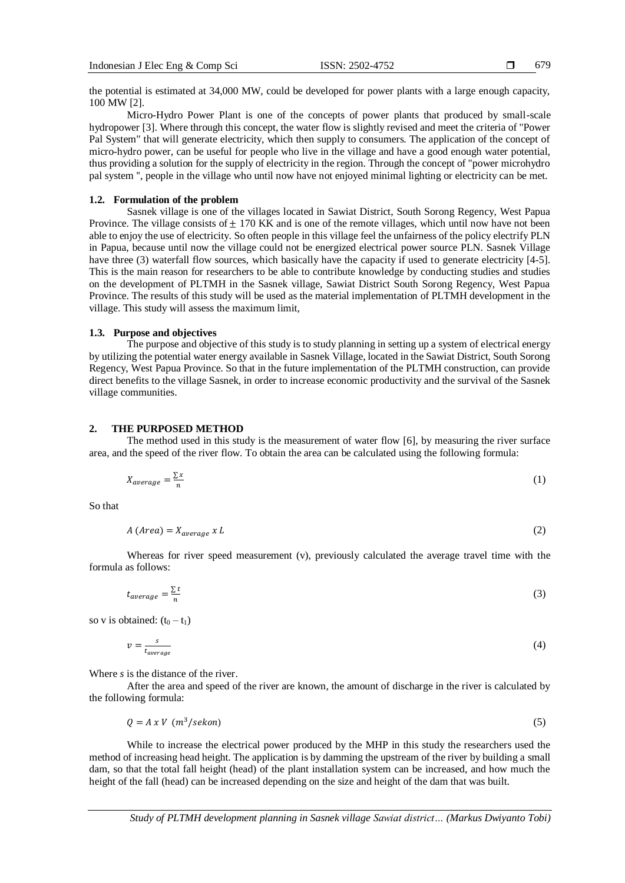679

the potential is estimated at 34,000 MW, could be developed for power plants with a large enough capacity, 100 MW [2].

Micro-Hydro Power Plant is one of the concepts of power plants that produced by small-scale hydropower [3]. Where through this concept, the water flow is slightly revised and meet the criteria of "Power Pal System" that will generate electricity, which then supply to consumers. The application of the concept of micro-hydro power, can be useful for people who live in the village and have a good enough water potential, thus providing a solution for the supply of electricity in the region. Through the concept of "power microhydro pal system '', people in the village who until now have not enjoyed minimal lighting or electricity can be met.

## **1.2. Formulation of the problem**

Sasnek village is one of the villages located in Sawiat District, South Sorong Regency, West Papua Province. The village consists of  $\pm$  170 KK and is one of the remote villages, which until now have not been able to enjoy the use of electricity. So often people in this village feel the unfairness of the policy electrify PLN in Papua, because until now the village could not be energized electrical power source PLN. Sasnek Village have three (3) waterfall flow sources, which basically have the capacity if used to generate electricity [4-5]. This is the main reason for researchers to be able to contribute knowledge by conducting studies and studies on the development of PLTMH in the Sasnek village, Sawiat District South Sorong Regency, West Papua Province. The results of this study will be used as the material implementation of PLTMH development in the village. This study will assess the maximum limit,

# **1.3. Purpose and objectives**

The purpose and objective of this study is to study planning in setting up a system of electrical energy by utilizing the potential water energy available in Sasnek Village, located in the Sawiat District, South Sorong Regency, West Papua Province. So that in the future implementation of the PLTMH construction, can provide direct benefits to the village Sasnek, in order to increase economic productivity and the survival of the Sasnek village communities.

## **2. THE PURPOSED METHOD**

The method used in this study is the measurement of water flow [6], by measuring the river surface area, and the speed of the river flow. To obtain the area can be calculated using the following formula:

$$
X_{average} = \frac{\sum x}{n} \tag{1}
$$

So that

$$
A \left( Area \right) = X_{average} \times L \tag{2}
$$

Whereas for river speed measurement (v), previously calculated the average travel time with the formula as follows:

$$
t_{average} = \frac{\sum t}{n}
$$
 (3)

so v is obtained:  $(t_0 - t_1)$ 

$$
v = \frac{s}{t_{average}} \tag{4}
$$

Where *s* is the distance of the river.

After the area and speed of the river are known, the amount of discharge in the river is calculated by the following formula:

$$
Q = A x V \quad (m^3/sekon) \tag{5}
$$

While to increase the electrical power produced by the MHP in this study the researchers used the method of increasing head height. The application is by damming the upstream of the river by building a small dam, so that the total fall height (head) of the plant installation system can be increased, and how much the height of the fall (head) can be increased depending on the size and height of the dam that was built.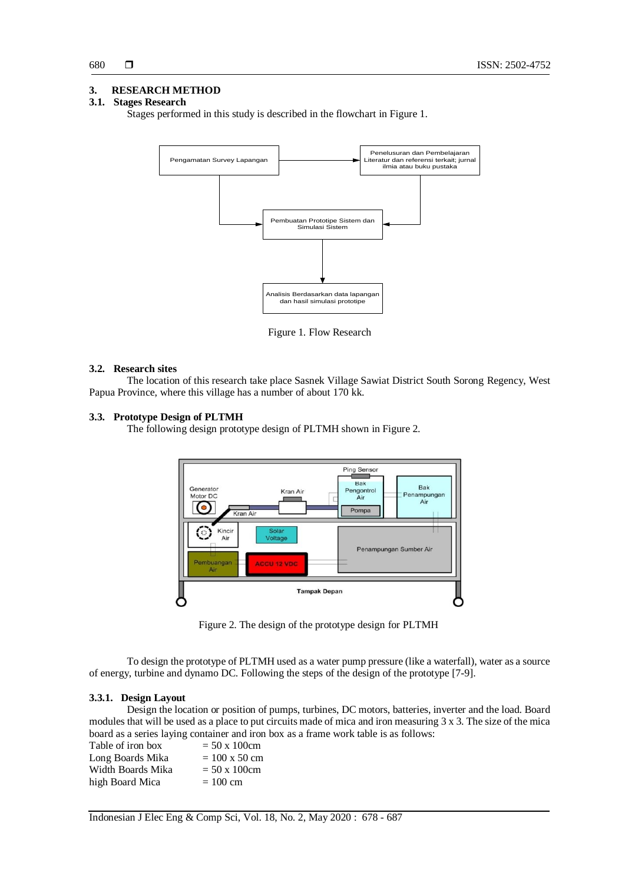## **3. RESEARCH METHOD**

# **3.1. Stages Research**

Stages performed in this study is described in the flowchart in Figure 1.



Figure 1. Flow Research

#### **3.2. Research sites**

The location of this research take place Sasnek Village Sawiat District South Sorong Regency, West Papua Province, where this village has a number of about 170 kk.

#### **3.3. Prototype Design of PLTMH**

The following design prototype design of PLTMH shown in Figure 2.



Figure 2. The design of the prototype design for PLTMH

To design the prototype of PLTMH used as a water pump pressure (like a waterfall), water as a source of energy, turbine and dynamo DC. Following the steps of the design of the prototype [7-9].

## **3.3.1. Design Layout**

Design the location or position of pumps, turbines, DC motors, batteries, inverter and the load. Board modules that will be used as a place to put circuits made of mica and iron measuring 3 x 3. The size of the mica board as a series laying container and iron box as a frame work table is as follows:

| Table of iron box | $= 50 \times 100$ cm         |
|-------------------|------------------------------|
| Long Boards Mika  | $= 100 \times 50 \text{ cm}$ |
| Width Boards Mika | $= 50 \times 100$ cm         |
| high Board Mica   | $= 100$ cm                   |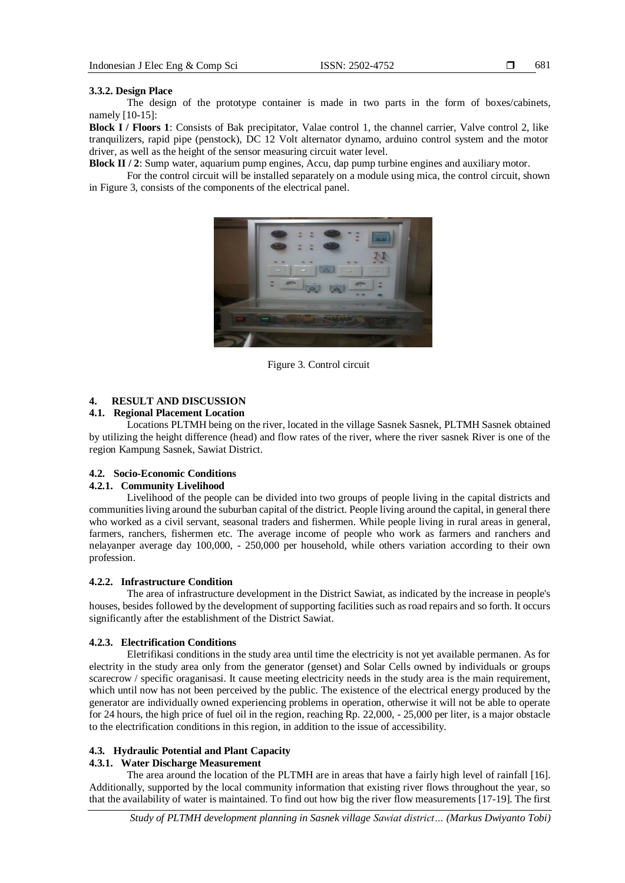#### **3.3.2. Design Place**

The design of the prototype container is made in two parts in the form of boxes/cabinets, namely [10-15]:

**Block I / Floors 1**: Consists of Bak precipitator, Valae control 1, the channel carrier, Valve control 2, like tranquilizers, rapid pipe (penstock), DC 12 Volt alternator dynamo, arduino control system and the motor driver, as well as the height of the sensor measuring circuit water level.

**Block II / 2**: Sump water, aquarium pump engines, Accu, dap pump turbine engines and auxiliary motor.

For the control circuit will be installed separately on a module using mica, the control circuit, shown in Figure 3, consists of the components of the electrical panel.



Figure 3. Control circuit

## **4. RESULT AND DISCUSSION**

## **4.1. Regional Placement Location**

Locations PLTMH being on the river, located in the village Sasnek Sasnek, PLTMH Sasnek obtained by utilizing the height difference (head) and flow rates of the river, where the river sasnek River is one of the region Kampung Sasnek, Sawiat District.

#### **4.2. Socio-Economic Conditions**

## **4.2.1. Community Livelihood**

Livelihood of the people can be divided into two groups of people living in the capital districts and communities living around the suburban capital of the district. People living around the capital, in general there who worked as a civil servant, seasonal traders and fishermen. While people living in rural areas in general, farmers, ranchers, fishermen etc. The average income of people who work as farmers and ranchers and nelayanper average day 100,000, - 250,000 per household, while others variation according to their own profession.

#### **4.2.2. Infrastructure Condition**

The area of infrastructure development in the District Sawiat, as indicated by the increase in people's houses, besides followed by the development of supporting facilities such as road repairs and so forth. It occurs significantly after the establishment of the District Sawiat.

#### **4.2.3. Electrification Conditions**

Eletrifikasi conditions in the study area until time the electricity is not yet available permanen. As for electrity in the study area only from the generator (genset) and Solar Cells owned by individuals or groups scarecrow / specific oraganisasi. It cause meeting electricity needs in the study area is the main requirement, which until now has not been perceived by the public. The existence of the electrical energy produced by the generator are individually owned experiencing problems in operation, otherwise it will not be able to operate for 24 hours, the high price of fuel oil in the region, reaching Rp. 22,000, - 25,000 per liter, is a major obstacle to the electrification conditions in this region, in addition to the issue of accessibility.

# **4.3. Hydraulic Potential and Plant Capacity**

# **4.3.1. Water Discharge Measurement**

The area around the location of the PLTMH are in areas that have a fairly high level of rainfall [16]. Additionally, supported by the local community information that existing river flows throughout the year, so that the availability of water is maintained. To find out how big the river flow measurements [17-19]. The first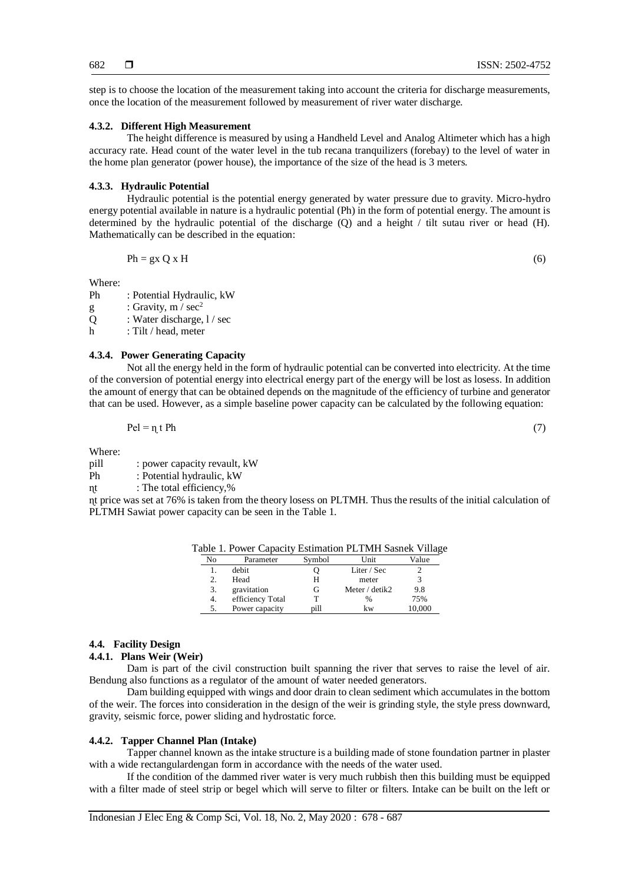step is to choose the location of the measurement taking into account the criteria for discharge measurements, once the location of the measurement followed by measurement of river water discharge.

#### **4.3.2. Different High Measurement**

The height difference is measured by using a Handheld Level and Analog Altimeter which has a high accuracy rate. Head count of the water level in the tub recana tranquilizers (forebay) to the level of water in the home plan generator (power house), the importance of the size of the head is 3 meters.

#### **4.3.3. Hydraulic Potential**

Hydraulic potential is the potential energy generated by water pressure due to gravity. Micro-hydro energy potential available in nature is a hydraulic potential (Ph) in the form of potential energy. The amount is determined by the hydraulic potential of the discharge (Q) and a height / tilt sutau river or head (H). Mathematically can be described in the equation:

$$
Ph = gx Q x H
$$
 (6)

Where:

Ph : Potential Hydraulic, kW

- g : Gravity,  $m / sec<sup>2</sup>$
- Q : Water discharge,  $1/$  sec
- h : Tilt / head, meter

#### **4.3.4. Power Generating Capacity**

Not all the energy held in the form of hydraulic potential can be converted into electricity. At the time of the conversion of potential energy into electrical energy part of the energy will be lost as losess. In addition the amount of energy that can be obtained depends on the magnitude of the efficiency of turbine and generator that can be used. However, as a simple baseline power capacity can be calculated by the following equation:

$$
\mathbf{1} \mathbf{C} \mathbf{I} \mathbf{I}
$$

Where:

pill : power capacity revault, kW

Ph : Potential hydraulic, kW

nt : The total efficiency,%

ɳt price was set at 76% is taken from the theory losess on PLTMH. Thus the results of the initial calculation of PLTMH Sawiat power capacity can be seen in the Table 1.

|    | able 1. Fower Capacity Estimation FLTMH Sashek Vinage |        |                |        |
|----|-------------------------------------------------------|--------|----------------|--------|
| No | Parameter                                             | Symbol | Unit           | Value  |
|    | debit                                                 |        | Liter / $Sec$  |        |
| 2. | Head                                                  | н      | meter          |        |
| 3. | gravitation                                           | G      | Meter / detik2 | 9.8    |
| 4. | efficiency Total                                      |        | %              | 75%    |
|    | Power capacity                                        | pill   | kw             | 10,000 |

Table 1. Power Capacity Estimation PLTMH Sasnek Village

#### **4.4. Facility Design**

**4.4.1. Plans Weir (Weir)**

Dam is part of the civil construction built spanning the river that serves to raise the level of air. Bendung also functions as a regulator of the amount of water needed generators.

Dam building equipped with wings and door drain to clean sediment which accumulates in the bottom of the weir. The forces into consideration in the design of the weir is grinding style, the style press downward, gravity, seismic force, power sliding and hydrostatic force.

#### **4.4.2. Tapper Channel Plan (Intake)**

Tapper channel known as the intake structure is a building made of stone foundation partner in plaster with a wide rectangulardengan form in accordance with the needs of the water used.

If the condition of the dammed river water is very much rubbish then this building must be equipped with a filter made of steel strip or begel which will serve to filter or filters. Intake can be built on the left or

 $\text{Pel} = \eta \text{ t } \text{Ph}$  (7)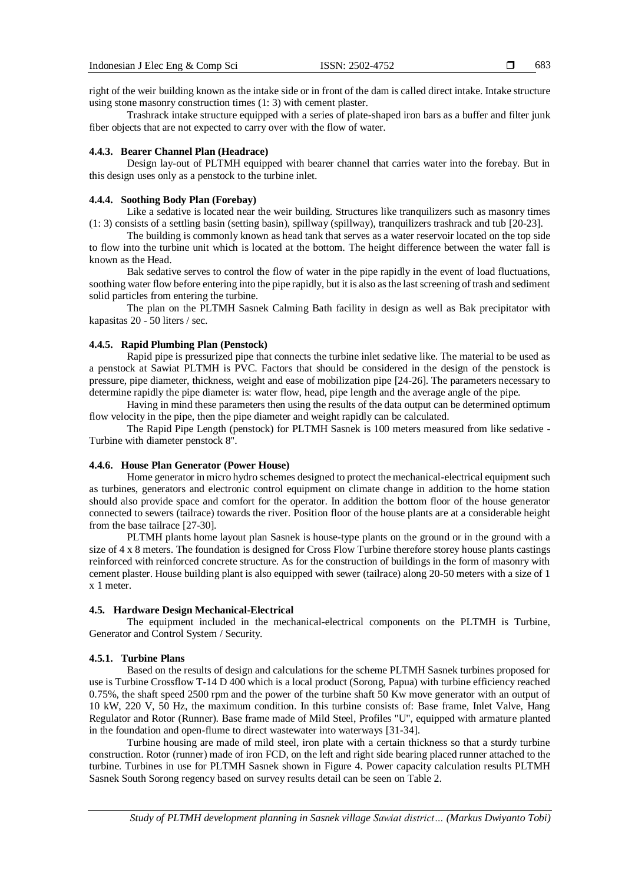683

right of the weir building known as the intake side or in front of the dam is called direct intake. Intake structure using stone masonry construction times (1: 3) with cement plaster.

Trashrack intake structure equipped with a series of plate-shaped iron bars as a buffer and filter junk fiber objects that are not expected to carry over with the flow of water.

## **4.4.3. Bearer Channel Plan (Headrace)**

Design lay-out of PLTMH equipped with bearer channel that carries water into the forebay. But in this design uses only as a penstock to the turbine inlet.

### **4.4.4. Soothing Body Plan (Forebay)**

Like a sedative is located near the weir building. Structures like tranquilizers such as masonry times (1: 3) consists of a settling basin (setting basin), spillway (spillway), tranquilizers trashrack and tub [20-23].

The building is commonly known as head tank that serves as a water reservoir located on the top side to flow into the turbine unit which is located at the bottom. The height difference between the water fall is known as the Head.

Bak sedative serves to control the flow of water in the pipe rapidly in the event of load fluctuations, soothing water flow before entering into the pipe rapidly, but it is also as the last screening of trash and sediment solid particles from entering the turbine.

The plan on the PLTMH Sasnek Calming Bath facility in design as well as Bak precipitator with kapasitas 20 - 50 liters / sec.

## **4.4.5. Rapid Plumbing Plan (Penstock)**

Rapid pipe is pressurized pipe that connects the turbine inlet sedative like. The material to be used as a penstock at Sawiat PLTMH is PVC. Factors that should be considered in the design of the penstock is pressure, pipe diameter, thickness, weight and ease of mobilization pipe [24-26]. The parameters necessary to determine rapidly the pipe diameter is: water flow, head, pipe length and the average angle of the pipe.

Having in mind these parameters then using the results of the data output can be determined optimum flow velocity in the pipe, then the pipe diameter and weight rapidly can be calculated.

The Rapid Pipe Length (penstock) for PLTMH Sasnek is 100 meters measured from like sedative - Turbine with diameter penstock 8''.

#### **4.4.6. House Plan Generator (Power House)**

Home generator in micro hydro schemes designed to protect the mechanical-electrical equipment such as turbines, generators and electronic control equipment on climate change in addition to the home station should also provide space and comfort for the operator. In addition the bottom floor of the house generator connected to sewers (tailrace) towards the river. Position floor of the house plants are at a considerable height from the base tailrace [27-30].

PLTMH plants home layout plan Sasnek is house-type plants on the ground or in the ground with a size of 4 x 8 meters. The foundation is designed for Cross Flow Turbine therefore storey house plants castings reinforced with reinforced concrete structure. As for the construction of buildings in the form of masonry with cement plaster. House building plant is also equipped with sewer (tailrace) along 20-50 meters with a size of 1 x 1 meter.

## **4.5. Hardware Design Mechanical-Electrical**

The equipment included in the mechanical-electrical components on the PLTMH is Turbine, Generator and Control System / Security.

## **4.5.1. Turbine Plans**

Based on the results of design and calculations for the scheme PLTMH Sasnek turbines proposed for use is Turbine Crossflow T-14 D 400 which is a local product (Sorong, Papua) with turbine efficiency reached 0.75%, the shaft speed 2500 rpm and the power of the turbine shaft 50 Kw move generator with an output of 10 kW, 220 V, 50 Hz, the maximum condition. In this turbine consists of: Base frame, Inlet Valve, Hang Regulator and Rotor (Runner). Base frame made of Mild Steel, Profiles "U", equipped with armature planted in the foundation and open-flume to direct wastewater into waterways [31-34].

Turbine housing are made of mild steel, iron plate with a certain thickness so that a sturdy turbine construction. Rotor (runner) made of iron FCD, on the left and right side bearing placed runner attached to the turbine. Turbines in use for PLTMH Sasnek shown in Figure 4. Power capacity calculation results PLTMH Sasnek South Sorong regency based on survey results detail can be seen on Table 2.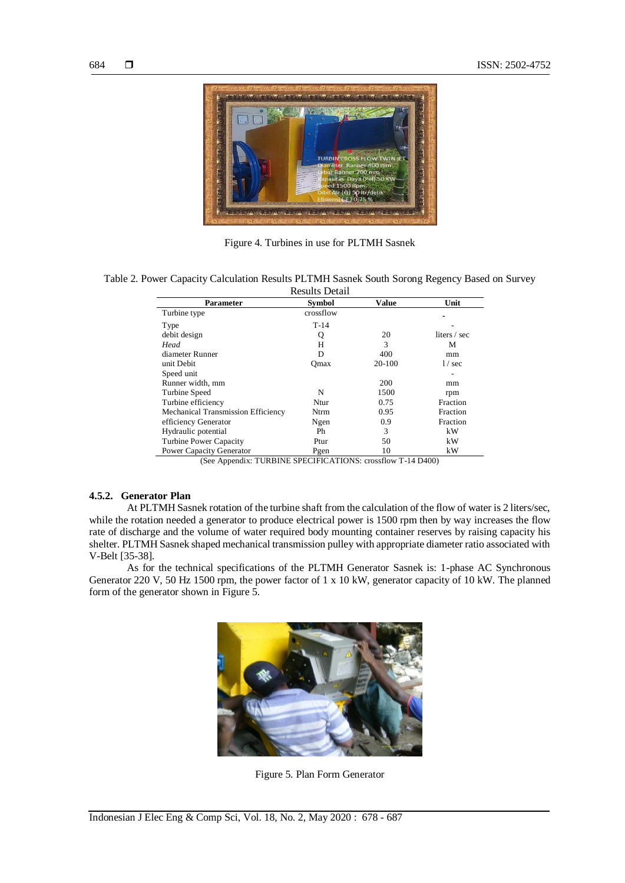

Figure 4. Turbines in use for PLTMH Sasnek

| Table 2. Power Capacity Calculation Results PLTMH Sasnek South Sorong Regency Based on Survey |                |  |
|-----------------------------------------------------------------------------------------------|----------------|--|
|                                                                                               | Doculte Dotail |  |

| комиз декан                        |           |        |              |
|------------------------------------|-----------|--------|--------------|
| <b>Parameter</b>                   | Symbol    | Value  | Unit         |
| Turbine type                       | crossflow |        |              |
| Type                               | $T-14$    |        |              |
| debit design                       | Q         | 20     | liters / sec |
| Head                               | н         | 3      | М            |
| diameter Runner                    | D         | 400    | mm           |
| unit Debit                         | Omax      | 20-100 | $1/$ sec     |
| Speed unit                         |           |        |              |
| Runner width, mm                   |           | 200    | mm           |
| Turbine Speed                      | N         | 1500   | rpm          |
| Turbine efficiency                 | Ntur      | 0.75   | Fraction     |
| Mechanical Transmission Efficiency | Ntrm      | 0.95   | Fraction     |
| efficiency Generator               | Ngen      | 0.9    | Fraction     |
| Hydraulic potential                | Ph        | 3      | kW           |
| Turbine Power Capacity             | Ptur      | 50     | kW           |
| Power Capacity Generator           | Pgen      | 10     | kW           |
|                                    |           |        |              |

(See Appendix: TURBINE SPECIFICATIONS: crossflow T-14 D400)

# **4.5.2. Generator Plan**

At PLTMH Sasnek rotation of the turbine shaft from the calculation of the flow of water is 2 liters/sec, while the rotation needed a generator to produce electrical power is 1500 rpm then by way increases the flow rate of discharge and the volume of water required body mounting container reserves by raising capacity his shelter. PLTMH Sasnek shaped mechanical transmission pulley with appropriate diameter ratio associated with V-Belt [35-38].

As for the technical specifications of the PLTMH Generator Sasnek is: 1-phase AC Synchronous Generator 220 V, 50 Hz 1500 rpm, the power factor of 1 x 10 kW, generator capacity of 10 kW. The planned form of the generator shown in Figure 5.



Figure 5. Plan Form Generator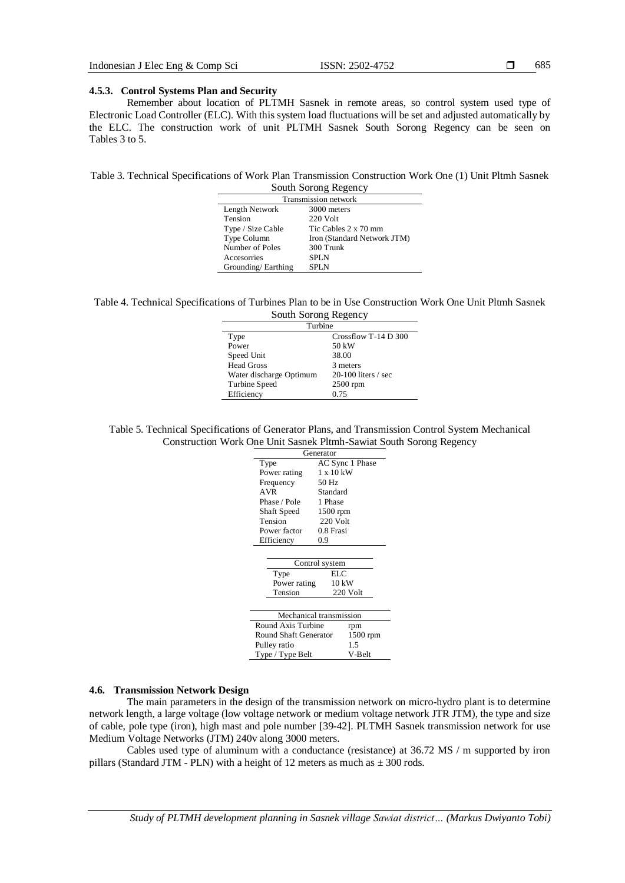## 685

#### **4.5.3. Control Systems Plan and Security**

Remember about location of PLTMH Sasnek in remote areas, so control system used type of Electronic Load Controller (ELC). With this system load fluctuations will be set and adjusted automatically by the ELC. The construction work of unit PLTMH Sasnek South Sorong Regency can be seen on Tables 3 to 5.

Table 3. Technical Specifications of Work Plan Transmission Construction Work One (1) Unit Pltmh Sasnek South Sorong Regency

| DOUGH DOLONG INCRUITY       |                             |  |
|-----------------------------|-----------------------------|--|
| <b>Transmission network</b> |                             |  |
| Length Network              | 3000 meters                 |  |
| Tension                     | 220 Volt                    |  |
| Type / Size Cable           | Tic Cables 2 x 70 mm        |  |
| Type Column                 | Iron (Standard Network JTM) |  |
| Number of Poles             | 300 Trunk                   |  |
| Accesorries                 | <b>SPLN</b>                 |  |
| Grounding/Earthing          | <b>SPLN</b>                 |  |

| Table 4. Technical Specifications of Turbines Plan to be in Use Construction Work One Unit Pltmh Sasnek |  |  |  |  |
|---------------------------------------------------------------------------------------------------------|--|--|--|--|
| $\mathbb{C}$ outh $\mathbb{C}$ cannot December                                                          |  |  |  |  |

| South Sorong Regency    |                       |  |  |
|-------------------------|-----------------------|--|--|
| Turbine                 |                       |  |  |
| Type                    | Crossflow T-14 D 300  |  |  |
| Power                   | 50 kW                 |  |  |
| Speed Unit              | 38.00                 |  |  |
| <b>Head Gross</b>       | 3 meters              |  |  |
| Water discharge Optimum | $20-100$ liters / sec |  |  |
| Turbine Speed           | $2500$ rpm            |  |  |
| Efficiency              | 0.75                  |  |  |

Table 5. Technical Specifications of Generator Plans, and Transmission Control System Mechanical Construction Work One Unit Sasnek Pltmh-Sawiat South Sorong Regency

| Generator                    |                  |  |  |  |
|------------------------------|------------------|--|--|--|
| Type                         | AC Sync 1 Phase  |  |  |  |
| Power rating                 | $1 \times 10$ kW |  |  |  |
| Frequency                    | 50 Hz            |  |  |  |
| <b>AVR</b>                   | Standard         |  |  |  |
| Phase / Pole                 | 1 Phase          |  |  |  |
| Shaft Speed                  | 1500 rpm         |  |  |  |
| Tension                      | $220$ Volt       |  |  |  |
| Power factor                 | 0.8 Frasi        |  |  |  |
| Efficiency                   | 0.9              |  |  |  |
|                              |                  |  |  |  |
|                              | Control system   |  |  |  |
| ELC<br>Type                  |                  |  |  |  |
| Power rating                 | $10 \text{ kW}$  |  |  |  |
| Tension<br>220 Volt          |                  |  |  |  |
|                              |                  |  |  |  |
| Mechanical transmission      |                  |  |  |  |
| Round Axis Turbine<br>rpm    |                  |  |  |  |
| <b>Round Shaft Generator</b> | $1500$ rpm       |  |  |  |
| Pulley ratio                 | 1.5              |  |  |  |
| Type / Type Belt             | V-Belt           |  |  |  |

#### **4.6. Transmission Network Design**

The main parameters in the design of the transmission network on micro-hydro plant is to determine network length, a large voltage (low voltage network or medium voltage network JTR JTM), the type and size of cable, pole type (iron), high mast and pole number [39-42]. PLTMH Sasnek transmission network for use Medium Voltage Networks (JTM) 240v along 3000 meters.

Cables used type of aluminum with a conductance (resistance) at 36.72 MS / m supported by iron pillars (Standard JTM - PLN) with a height of 12 meters as much as  $\pm$  300 rods.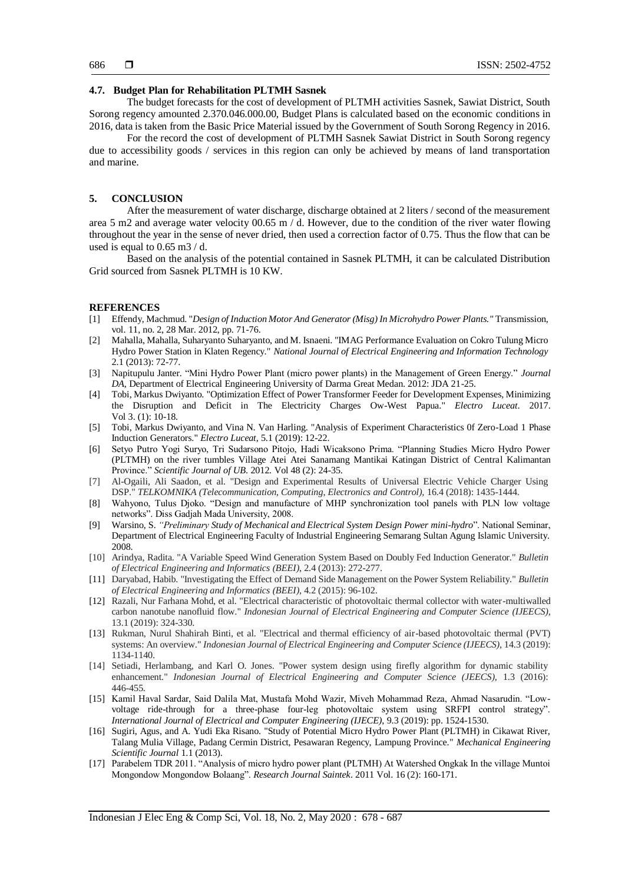#### **4.7. Budget Plan for Rehabilitation PLTMH Sasnek**

The budget forecasts for the cost of development of PLTMH activities Sasnek, Sawiat District, South Sorong regency amounted 2.370.046.000.00, Budget Plans is calculated based on the economic conditions in 2016, data is taken from the Basic Price Material issued by the Government of South Sorong Regency in 2016.

For the record the cost of development of PLTMH Sasnek Sawiat District in South Sorong regency due to accessibility goods / services in this region can only be achieved by means of land transportation and marine.

## **5. CONCLUSION**

After the measurement of water discharge, discharge obtained at 2 liters / second of the measurement area 5 m2 and average water velocity 00.65 m / d. However, due to the condition of the river water flowing throughout the year in the sense of never dried, then used a correction factor of 0.75. Thus the flow that can be used is equal to 0.65 m3 / d.

Based on the analysis of the potential contained in Sasnek PLTMH, it can be calculated Distribution Grid sourced from Sasnek PLTMH is 10 KW.

#### **REFERENCES**

- [1] Effendy, Machmud. "*Design of Induction Motor And Generator (Misg) In Microhydro Power Plants."* Transmission, vol. 11, no. 2, 28 Mar. 2012, pp. 71-76.
- [2] Mahalla, Mahalla, Suharyanto Suharyanto, and M. Isnaeni. "IMAG Performance Evaluation on Cokro Tulung Micro Hydro Power Station in Klaten Regency." *National Journal of Electrical Engineering and Information Technology* 2.1 (2013): 72-77.
- [3] Napitupulu Janter. "Mini Hydro Power Plant (micro power plants) in the Management of Green Energy." *Journal DA*, Department of Electrical Engineering University of Darma Great Medan. 2012: JDA 21-25.
- [4] Tobi, Markus Dwiyanto. "Optimization Effect of Power Transformer Feeder for Development Expenses, Minimizing the Disruption and Deficit in The Electricity Charges Ow-West Papua." *Electro Luceat*. 2017. Vol 3. (1): 10-18.
- [5] Tobi, Markus Dwiyanto, and Vina N. Van Harling. "Analysis of Experiment Characteristics 0f Zero-Load 1 Phase Induction Generators." *Electro Luceat,* 5.1 (2019): 12-22.
- [6] Setyo Putro Yogi Suryo, Tri Sudarsono Pitojo, Hadi Wicaksono Prima. "Planning Studies Micro Hydro Power (PLTMH) on the river tumbles Village Atei Atei Sanamang Mantikai Katingan District of Central Kalimantan Province." *Scientific Journal of UB*. 2012. Vol 48 (2): 24-35.
- [7] Al-Ogaili, Ali Saadon, et al. "Design and Experimental Results of Universal Electric Vehicle Charger Using DSP." *TELKOMNIKA (Telecommunication, Computing, Electronics and Control),* 16.4 (2018): 1435-1444.
- [8] Wahyono, Tulus Djoko. "Design and manufacture of MHP synchronization tool panels with PLN low voltage networks". Diss Gadjah Mada University, 2008.
- [9] Warsino, S. *"Preliminary Study of Mechanical and Electrical System Design Power mini-hydro*". National Seminar, Department of Electrical Engineering Faculty of Industrial Engineering Semarang Sultan Agung Islamic University. 2008.
- [10] Arindya, Radita. "A Variable Speed Wind Generation System Based on Doubly Fed Induction Generator." *Bulletin of Electrical Engineering and Informatics (BEEI)*, 2.4 (2013): 272-277.
- [11] Daryabad, Habib. "Investigating the Effect of Demand Side Management on the Power System Reliability." *Bulletin of Electrical Engineering and Informatics (BEEI),* 4.2 (2015): 96-102.
- [12] Razali, Nur Farhana Mohd, et al. "Electrical characteristic of photovoltaic thermal collector with water-multiwalled carbon nanotube nanofluid flow." *Indonesian Journal of Electrical Engineering and Computer Science (IJEECS),*  13.1 (2019): 324-330.
- [13] Rukman, Nurul Shahirah Binti, et al. "Electrical and thermal efficiency of air-based photovoltaic thermal (PVT) systems: An overview." *Indonesian Journal of Electrical Engineering and Computer Science (IJEECS),* 14.3 (2019): 1134-1140.
- [14] Setiadi, Herlambang, and Karl O. Jones. "Power system design using firefly algorithm for dynamic stability enhancement." *Indonesian Journal of Electrical Engineering and Computer Science (JEECS),* 1.3 (2016): 446-455.
- [15] Kamil Haval Sardar, Said Dalila Mat, Mustafa Mohd Wazir, Miveh Mohammad Reza, Ahmad Nasarudin. "Lowvoltage ride-through for a three-phase four-leg photovoltaic system using SRFPI control strategy". *International Journal of Electrical and Computer Engineering (IJECE)*, 9.3 (2019): pp. 1524-1530.
- [16] Sugiri, Agus, and A. Yudi Eka Risano. "Study of Potential Micro Hydro Power Plant (PLTMH) in Cikawat River, Talang Mulia Village, Padang Cermin District, Pesawaran Regency, Lampung Province." *Mechanical Engineering Scientific Journal* 1.1 (2013).
- [17] Parabelem TDR 2011. "Analysis of micro hydro power plant (PLTMH) At Watershed Ongkak In the village Muntoi Mongondow Mongondow Bolaang". *Research Journal Saintek*. 2011 Vol. 16 (2): 160-171.